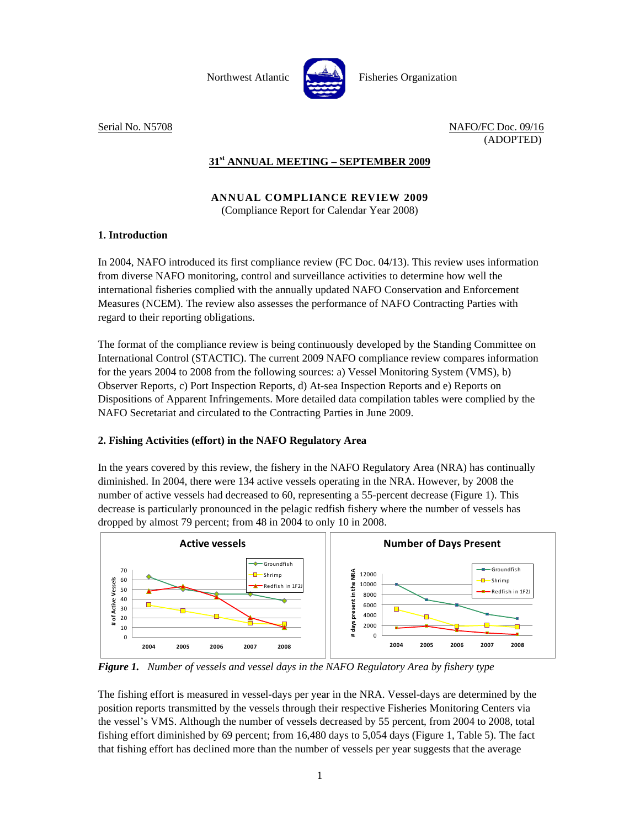

Serial No. N5708 NAFO/FC Doc. 09/16 (ADOPTED)

## **31st ANNUAL MEETING – SEPTEMBER 2009**

## **ANNUAL COMPLIANCE REVIEW 2009**  (Compliance Report for Calendar Year 2008)

## **1. Introduction**

In 2004, NAFO introduced its first compliance review (FC Doc. 04/13). This review uses information from diverse NAFO monitoring, control and surveillance activities to determine how well the international fisheries complied with the annually updated NAFO Conservation and Enforcement Measures (NCEM). The review also assesses the performance of NAFO Contracting Parties with regard to their reporting obligations.

The format of the compliance review is being continuously developed by the Standing Committee on International Control (STACTIC). The current 2009 NAFO compliance review compares information for the years 2004 to 2008 from the following sources: a) Vessel Monitoring System (VMS), b) Observer Reports, c) Port Inspection Reports, d) At-sea Inspection Reports and e) Reports on Dispositions of Apparent Infringements. More detailed data compilation tables were complied by the NAFO Secretariat and circulated to the Contracting Parties in June 2009.

## **2. Fishing Activities (effort) in the NAFO Regulatory Area**

In the years covered by this review, the fishery in the NAFO Regulatory Area (NRA) has continually diminished. In 2004, there were 134 active vessels operating in the NRA. However, by 2008 the number of active vessels had decreased to 60, representing a 55-percent decrease (Figure 1). This decrease is particularly pronounced in the pelagic redfish fishery where the number of vessels has dropped by almost 79 percent; from 48 in 2004 to only 10 in 2008.



*Figure 1. Number of vessels and vessel days in the NAFO Regulatory Area by fishery type* 

The fishing effort is measured in vessel-days per year in the NRA. Vessel-days are determined by the position reports transmitted by the vessels through their respective Fisheries Monitoring Centers via the vessel's VMS. Although the number of vessels decreased by 55 percent, from 2004 to 2008, total fishing effort diminished by 69 percent; from 16,480 days to 5,054 days (Figure 1, Table 5). The fact that fishing effort has declined more than the number of vessels per year suggests that the average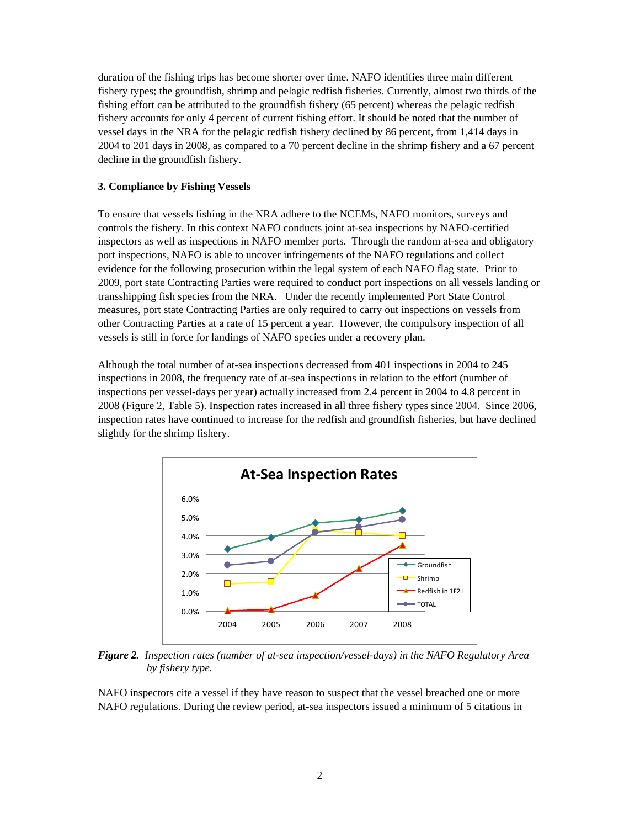duration of the fishing trips has become shorter over time. NAFO identifies three main different fishery types; the groundfish, shrimp and pelagic redfish fisheries. Currently, almost two thirds of the fishing effort can be attributed to the groundfish fishery (65 percent) whereas the pelagic redfish fishery accounts for only 4 percent of current fishing effort. It should be noted that the number of vessel days in the NRA for the pelagic redfish fishery declined by 86 percent, from 1,414 days in 2004 to 201 days in 2008, as compared to a 70 percent decline in the shrimp fishery and a 67 percent decline in the groundfish fishery.

### **3. Compliance by Fishing Vessels**

To ensure that vessels fishing in the NRA adhere to the NCEMs, NAFO monitors, surveys and controls the fishery. In this context NAFO conducts joint at-sea inspections by NAFO-certified inspectors as well as inspections in NAFO member ports. Through the random at-sea and obligatory port inspections, NAFO is able to uncover infringements of the NAFO regulations and collect evidence for the following prosecution within the legal system of each NAFO flag state. Prior to 2009, port state Contracting Parties were required to conduct port inspections on all vessels landing or transshipping fish species from the NRA. Under the recently implemented Port State Control measures, port state Contracting Parties are only required to carry out inspections on vessels from other Contracting Parties at a rate of 15 percent a year. However, the compulsory inspection of all vessels is still in force for landings of NAFO species under a recovery plan.

Although the total number of at-sea inspections decreased from 401 inspections in 2004 to 245 inspections in 2008, the frequency rate of at-sea inspections in relation to the effort (number of inspections per vessel-days per year) actually increased from 2.4 percent in 2004 to 4.8 percent in 2008 (Figure 2, Table 5). Inspection rates increased in all three fishery types since 2004. Since 2006, inspection rates have continued to increase for the redfish and groundfish fisheries, but have declined slightly for the shrimp fishery.



*Figure 2. Inspection rates (number of at-sea inspection/vessel-days) in the NAFO Regulatory Area by fishery type.* 

NAFO inspectors cite a vessel if they have reason to suspect that the vessel breached one or more NAFO regulations. During the review period, at-sea inspectors issued a minimum of 5 citations in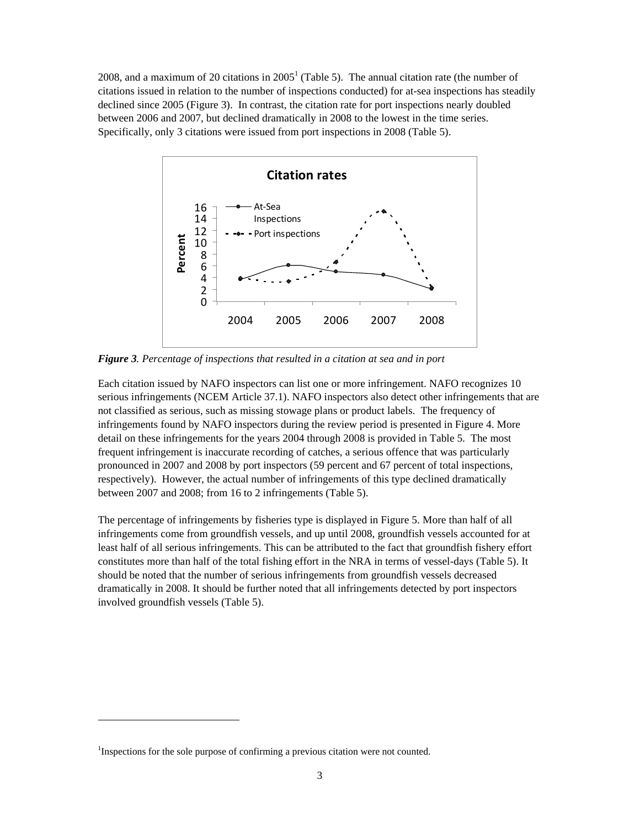2008, and a maximum of 20 citations in  $2005<sup>1</sup>$  (Table 5). The annual citation rate (the number of citations issued in relation to the number of inspections conducted) for at-sea inspections has steadily declined since 2005 (Figure 3). In contrast, the citation rate for port inspections nearly doubled between 2006 and 2007, but declined dramatically in 2008 to the lowest in the time series. Specifically, only 3 citations were issued from port inspections in 2008 (Table 5).



*Figure 3. Percentage of inspections that resulted in a citation at sea and in port* 

Each citation issued by NAFO inspectors can list one or more infringement. NAFO recognizes 10 serious infringements (NCEM Article 37.1). NAFO inspectors also detect other infringements that are not classified as serious, such as missing stowage plans or product labels. The frequency of infringements found by NAFO inspectors during the review period is presented in Figure 4. More detail on these infringements for the years 2004 through 2008 is provided in Table 5. The most frequent infringement is inaccurate recording of catches, a serious offence that was particularly pronounced in 2007 and 2008 by port inspectors (59 percent and 67 percent of total inspections, respectively). However, the actual number of infringements of this type declined dramatically between 2007 and 2008; from 16 to 2 infringements (Table 5).

The percentage of infringements by fisheries type is displayed in Figure 5. More than half of all infringements come from groundfish vessels, and up until 2008, groundfish vessels accounted for at least half of all serious infringements. This can be attributed to the fact that groundfish fishery effort constitutes more than half of the total fishing effort in the NRA in terms of vessel-days (Table 5). It should be noted that the number of serious infringements from groundfish vessels decreased dramatically in 2008. It should be further noted that all infringements detected by port inspectors involved groundfish vessels (Table 5).

-

<sup>&</sup>lt;sup>1</sup>Inspections for the sole purpose of confirming a previous citation were not counted.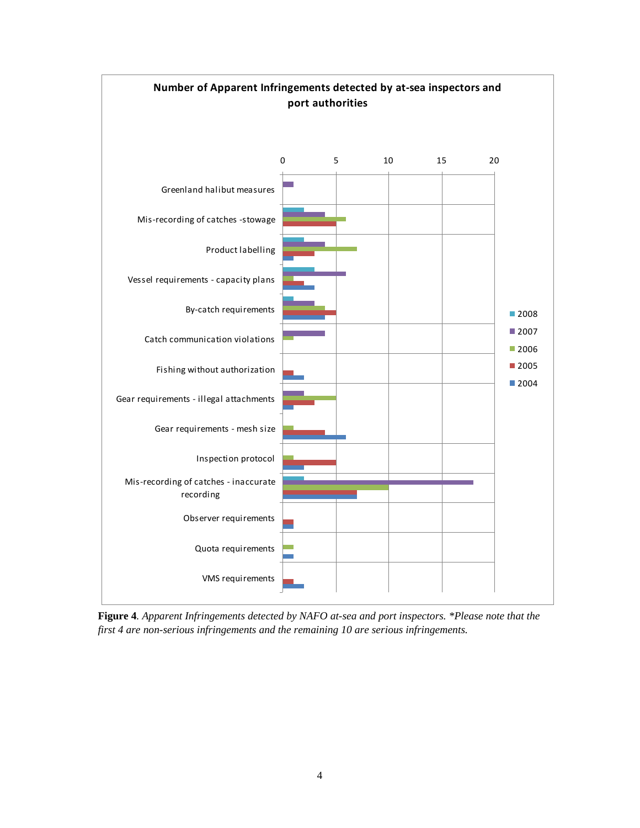

**Figure 4***. Apparent Infringements detected by NAFO at-sea and port inspectors. \*Please note that the first 4 are non-serious infringements and the remaining 10 are serious infringements.*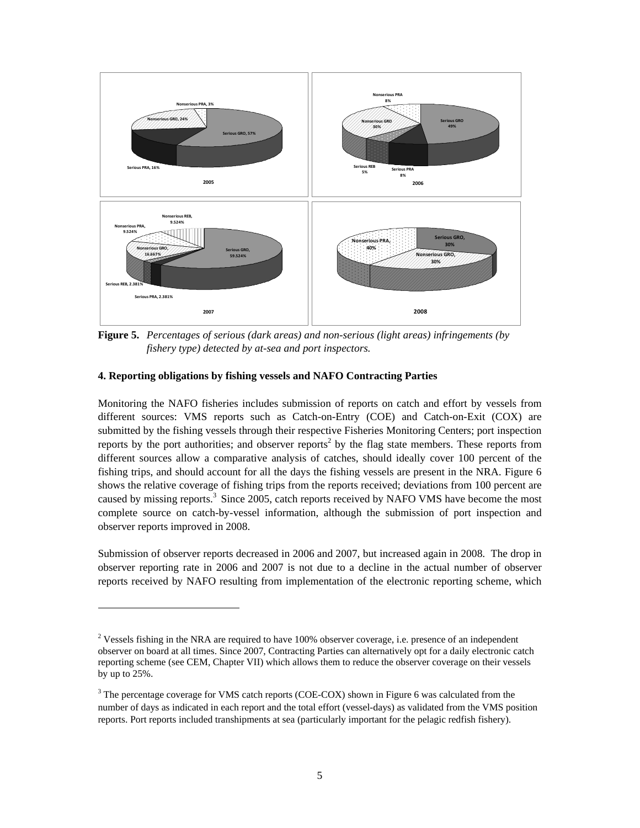

**Figure 5.** *Percentages of serious (dark areas) and non-serious (light areas) infringements (by fishery type) detected by at-sea and port inspectors.*

### **4. Reporting obligations by fishing vessels and NAFO Contracting Parties**

-

Monitoring the NAFO fisheries includes submission of reports on catch and effort by vessels from different sources: VMS reports such as Catch-on-Entry (COE) and Catch-on-Exit (COX) are submitted by the fishing vessels through their respective Fisheries Monitoring Centers; port inspection reports by the port authorities; and observer reports<sup>2</sup> by the flag state members. These reports from different sources allow a comparative analysis of catches, should ideally cover 100 percent of the fishing trips, and should account for all the days the fishing vessels are present in the NRA. Figure 6 shows the relative coverage of fishing trips from the reports received; deviations from 100 percent are caused by missing reports.<sup>3</sup> Since 2005, catch reports received by NAFO VMS have become the most complete source on catch-by-vessel information, although the submission of port inspection and observer reports improved in 2008.

Submission of observer reports decreased in 2006 and 2007, but increased again in 2008. The drop in observer reporting rate in 2006 and 2007 is not due to a decline in the actual number of observer reports received by NAFO resulting from implementation of the electronic reporting scheme, which

<sup>&</sup>lt;sup>2</sup> Vessels fishing in the NRA are required to have 100% observer coverage, i.e. presence of an independent observer on board at all times. Since 2007, Contracting Parties can alternatively opt for a daily electronic catch reporting scheme (see CEM, Chapter VII) which allows them to reduce the observer coverage on their vessels by up to 25%.

 $3$  The percentage coverage for VMS catch reports (COE-COX) shown in Figure 6 was calculated from the number of days as indicated in each report and the total effort (vessel-days) as validated from the VMS position reports. Port reports included transhipments at sea (particularly important for the pelagic redfish fishery).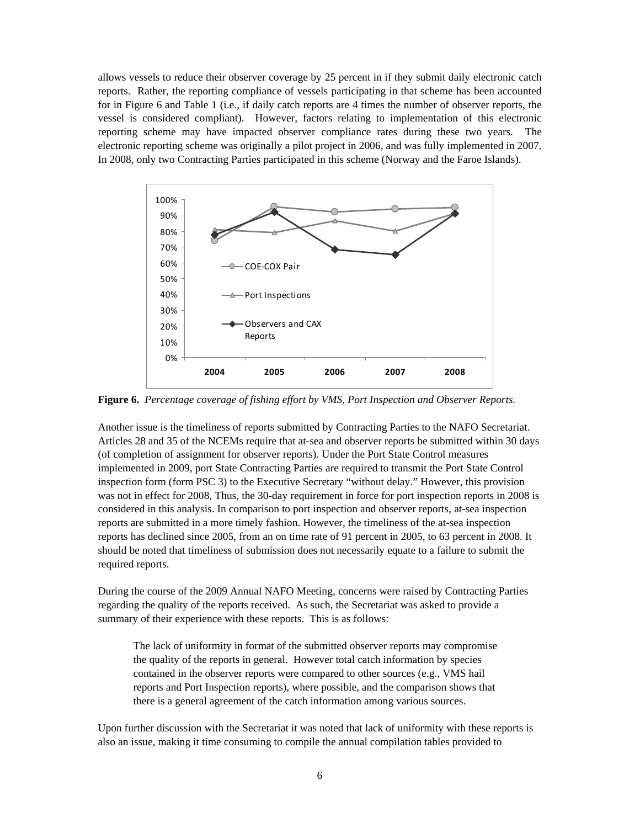allows vessels to reduce their observer coverage by 25 percent in if they submit daily electronic catch reports. Rather, the reporting compliance of vessels participating in that scheme has been accounted for in Figure 6 and Table 1 (i.e., if daily catch reports are 4 times the number of observer reports, the vessel is considered compliant). However, factors relating to implementation of this electronic reporting scheme may have impacted observer compliance rates during these two years. The electronic reporting scheme was originally a pilot project in 2006, and was fully implemented in 2007. In 2008, only two Contracting Parties participated in this scheme (Norway and the Faroe Islands).



**Figure 6.** *Percentage coverage of fishing effort by VMS, Port Inspection and Observer Reports.* 

Another issue is the timeliness of reports submitted by Contracting Parties to the NAFO Secretariat. Articles 28 and 35 of the NCEMs require that at-sea and observer reports be submitted within 30 days (of completion of assignment for observer reports). Under the Port State Control measures implemented in 2009, port State Contracting Parties are required to transmit the Port State Control inspection form (form PSC 3) to the Executive Secretary "without delay." However, this provision was not in effect for 2008, Thus, the 30-day requirement in force for port inspection reports in 2008 is considered in this analysis. In comparison to port inspection and observer reports, at-sea inspection reports are submitted in a more timely fashion. However, the timeliness of the at-sea inspection reports has declined since 2005, from an on time rate of 91 percent in 2005, to 63 percent in 2008. It should be noted that timeliness of submission does not necessarily equate to a failure to submit the required reports.

During the course of the 2009 Annual NAFO Meeting, concerns were raised by Contracting Parties regarding the quality of the reports received. As such, the Secretariat was asked to provide a summary of their experience with these reports. This is as follows:

The lack of uniformity in format of the submitted observer reports may compromise the quality of the reports in general. However total catch information by species contained in the observer reports were compared to other sources (e.g., VMS hail reports and Port Inspection reports), where possible, and the comparison shows that there is a general agreement of the catch information among various sources.

Upon further discussion with the Secretariat it was noted that lack of uniformity with these reports is also an issue, making it time consuming to compile the annual compilation tables provided to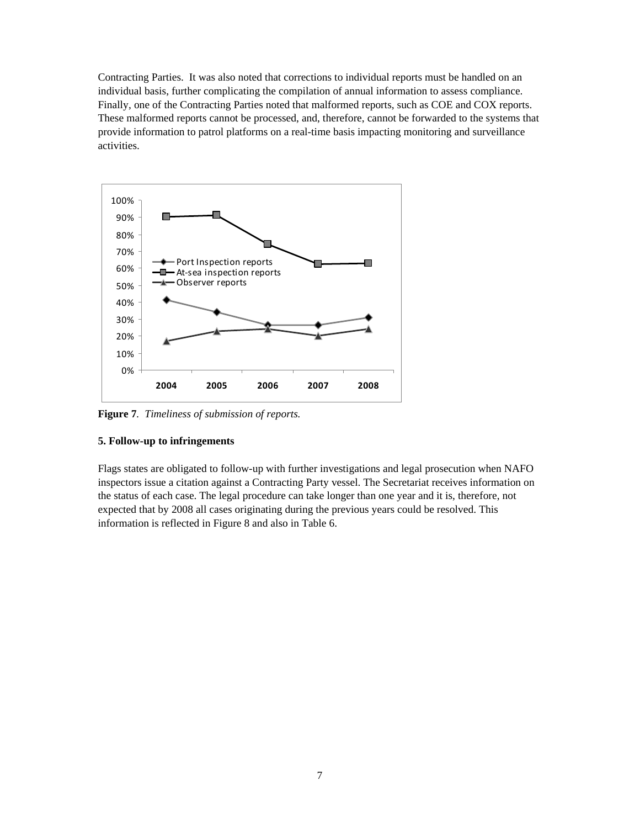Contracting Parties. It was also noted that corrections to individual reports must be handled on an individual basis, further complicating the compilation of annual information to assess compliance. Finally, one of the Contracting Parties noted that malformed reports, such as COE and COX reports. These malformed reports cannot be processed, and, therefore, cannot be forwarded to the systems that provide information to patrol platforms on a real-time basis impacting monitoring and surveillance activities.



**Figure 7***. Timeliness of submission of reports.* 

## **5. Follow-up to infringements**

Flags states are obligated to follow-up with further investigations and legal prosecution when NAFO inspectors issue a citation against a Contracting Party vessel. The Secretariat receives information on the status of each case. The legal procedure can take longer than one year and it is, therefore, not expected that by 2008 all cases originating during the previous years could be resolved. This information is reflected in Figure 8 and also in Table 6.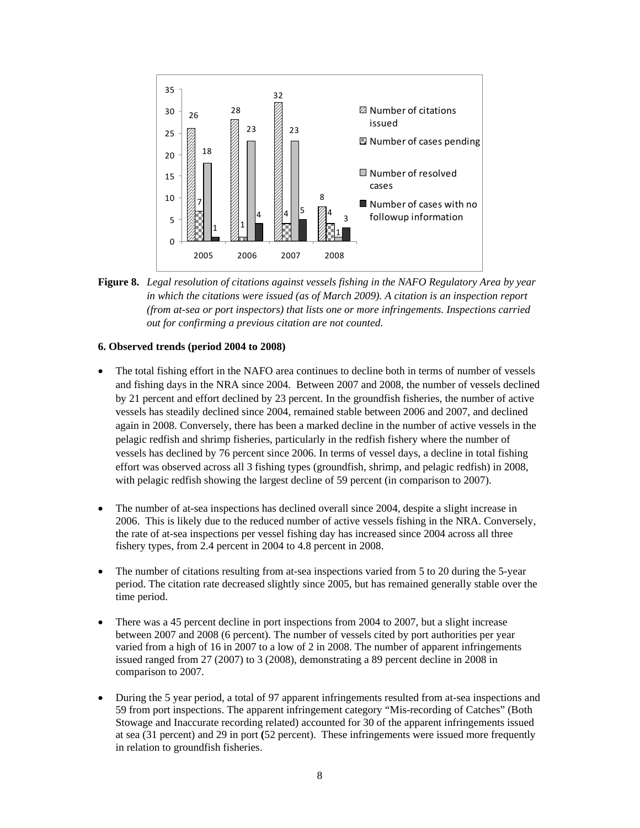

**Figure 8.** *Legal resolution of citations against vessels fishing in the NAFO Regulatory Area by year in which the citations were issued (as of March 2009). A citation is an inspection report (from at-sea or port inspectors) that lists one or more infringements. Inspections carried out for confirming a previous citation are not counted.* 

### **6. Observed trends (period 2004 to 2008)**

- The total fishing effort in the NAFO area continues to decline both in terms of number of vessels and fishing days in the NRA since 2004. Between 2007 and 2008, the number of vessels declined by 21 percent and effort declined by 23 percent. In the groundfish fisheries, the number of active vessels has steadily declined since 2004, remained stable between 2006 and 2007, and declined again in 2008. Conversely, there has been a marked decline in the number of active vessels in the pelagic redfish and shrimp fisheries, particularly in the redfish fishery where the number of vessels has declined by 76 percent since 2006. In terms of vessel days, a decline in total fishing effort was observed across all 3 fishing types (groundfish, shrimp, and pelagic redfish) in 2008, with pelagic redfish showing the largest decline of 59 percent (in comparison to 2007).
- The number of at-sea inspections has declined overall since 2004, despite a slight increase in 2006. This is likely due to the reduced number of active vessels fishing in the NRA. Conversely, the rate of at-sea inspections per vessel fishing day has increased since 2004 across all three fishery types, from 2.4 percent in 2004 to 4.8 percent in 2008.
- The number of citations resulting from at-sea inspections varied from 5 to 20 during the 5-year period. The citation rate decreased slightly since 2005, but has remained generally stable over the time period.
- There was a 45 percent decline in port inspections from 2004 to 2007, but a slight increase between 2007 and 2008 (6 percent). The number of vessels cited by port authorities per year varied from a high of 16 in 2007 to a low of 2 in 2008. The number of apparent infringements issued ranged from 27 (2007) to 3 (2008), demonstrating a 89 percent decline in 2008 in comparison to 2007.
- During the 5 year period, a total of 97 apparent infringements resulted from at-sea inspections and 59 from port inspections. The apparent infringement category "Mis-recording of Catches" (Both Stowage and Inaccurate recording related) accounted for 30 of the apparent infringements issued at sea (31 percent) and 29 in port **(**52 percent). These infringements were issued more frequently in relation to groundfish fisheries.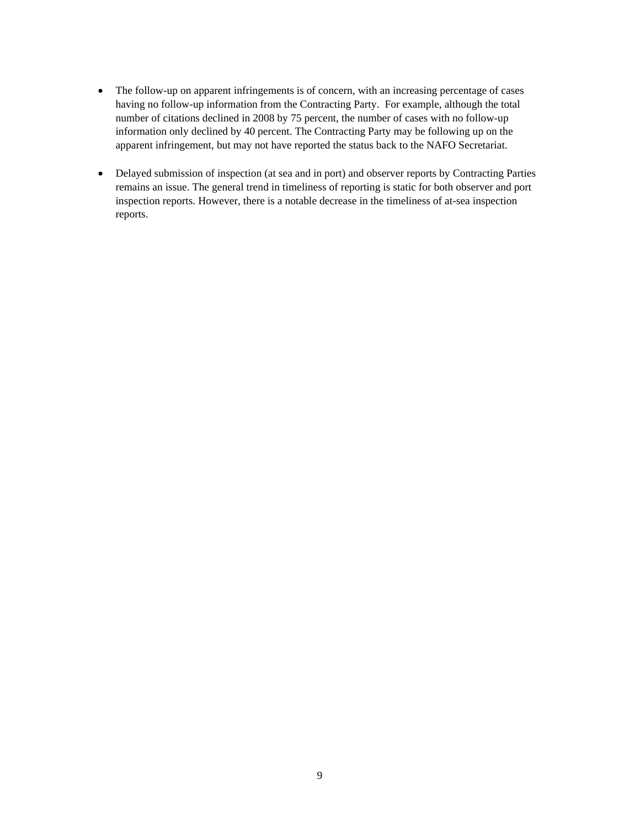- The follow-up on apparent infringements is of concern, with an increasing percentage of cases having no follow-up information from the Contracting Party. For example, although the total number of citations declined in 2008 by 75 percent, the number of cases with no follow-up information only declined by 40 percent. The Contracting Party may be following up on the apparent infringement, but may not have reported the status back to the NAFO Secretariat.
- Delayed submission of inspection (at sea and in port) and observer reports by Contracting Parties remains an issue. The general trend in timeliness of reporting is static for both observer and port inspection reports. However, there is a notable decrease in the timeliness of at-sea inspection reports.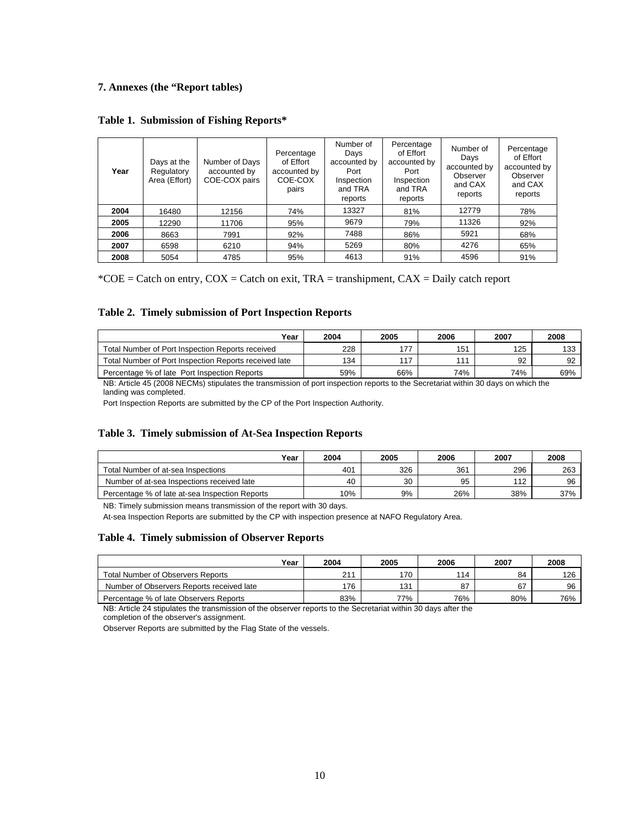## **7. Annexes (the "Report tables)**

|  | Table 1. Submission of Fishing Reports* |  |  |
|--|-----------------------------------------|--|--|
|--|-----------------------------------------|--|--|

| Year | Days at the<br>Regulatory<br>Area (Effort) | Number of Days<br>accounted by<br>COE-COX pairs | Percentage<br>of Effort<br>accounted by<br>COE-COX<br>pairs | Number of<br>Days<br>accounted by<br>Port<br>Inspection<br>and TRA<br>reports | Percentage<br>of Effort<br>accounted by<br>Port<br>Inspection<br>and TRA<br>reports | Number of<br>Days<br>accounted by<br>Observer<br>and CAX<br>reports | Percentage<br>of Effort<br>accounted by<br>Observer<br>and CAX<br>reports |
|------|--------------------------------------------|-------------------------------------------------|-------------------------------------------------------------|-------------------------------------------------------------------------------|-------------------------------------------------------------------------------------|---------------------------------------------------------------------|---------------------------------------------------------------------------|
| 2004 | 16480                                      | 12156                                           | 74%                                                         | 13327                                                                         | 81%                                                                                 | 12779                                                               | 78%                                                                       |
| 2005 | 12290                                      | 11706                                           | 95%                                                         | 9679                                                                          | 79%                                                                                 | 11326                                                               | 92%                                                                       |
| 2006 | 8663                                       | 7991                                            | 92%                                                         | 7488                                                                          | 86%                                                                                 | 5921                                                                | 68%                                                                       |
| 2007 | 6598                                       | 6210                                            | 94%                                                         | 5269                                                                          | 80%                                                                                 | 4276                                                                | 65%                                                                       |
| 2008 | 5054                                       | 4785                                            | 95%                                                         | 4613                                                                          | 91%                                                                                 | 4596                                                                | 91%                                                                       |

 $*COE = Catch$  on entry,  $COX = Catch$  on exit, TRA = transhipment,  $CAX = Daily$  catch report

### **Table 2. Timely submission of Port Inspection Reports**

| Year                                                  | 2004 | 2005 | 2006 | 2007 | 2008 |
|-------------------------------------------------------|------|------|------|------|------|
| Total Number of Port Inspection Reports received      | 228  | 177  | 151  | 125  | 133  |
| Total Number of Port Inspection Reports received late | 134  | 117  | 11'  | 92   | 92   |
| Percentage % of late Port Inspection Reports          | 59%  | 66%  | 74%  | 74%  | 69%  |

NB: Article 45 (2008 NECMs) stipulates the transmission of port inspection reports to the Secretariat within 30 days on which the landing was completed.

Port Inspection Reports are submitted by the CP of the Port Inspection Authority.

### **Table 3. Timely submission of At-Sea Inspection Reports**

| Year                                           | 2004 | 2005 | 2006 | 2007 | 2008 |
|------------------------------------------------|------|------|------|------|------|
| Total Number of at-sea Inspections             | 401  | 326  | 361  | 296  | 263  |
| Number of at-sea Inspections received late     | 40   | 30   | 95   | 112  | 96   |
| Percentage % of late at-sea Inspection Reports | 10%  | 9%   | 26%  | 38%  | 37%  |

NB: Timely submission means transmission of the report with 30 days.

At-sea Inspection Reports are submitted by the CP with inspection presence at NAFO Regulatory Area.

#### **Table 4. Timely submission of Observer Reports**

| Year                                      | 2004 | 2005 | 2006 | 2007 | 2008 |
|-------------------------------------------|------|------|------|------|------|
| <b>Total Number of Observers Reports</b>  | 21   | 170  | 114  | 84   | 126  |
| Number of Observers Reports received late | 176  | 131  | 87   | 67   | 96   |
| Percentage % of late Observers Reports    | 83%  | 77%  | 76%  | 80%  | 76%  |

NB: Article 24 stipulates the transmission of the observer reports to the Secretariat within 30 days after the completion of the observer's assignment.

Observer Reports are submitted by the Flag State of the vessels.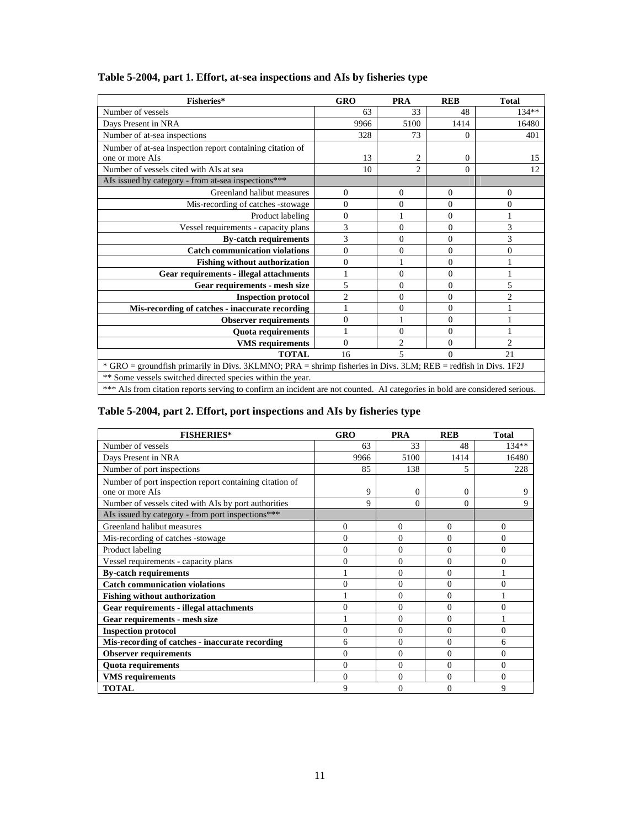| Fisheries*                                                                                                                  | <b>GRO</b>     | <b>PRA</b>     | <b>REB</b>     | <b>Total</b>   |  |
|-----------------------------------------------------------------------------------------------------------------------------|----------------|----------------|----------------|----------------|--|
| Number of vessels                                                                                                           | 63             | 33             | 48             | $134**$        |  |
| Days Present in NRA                                                                                                         | 9966           | 5100           | 1414           | 16480          |  |
| Number of at-sea inspections                                                                                                | 328            | 73             | 0              | 401            |  |
| Number of at-sea inspection report containing citation of                                                                   |                |                |                |                |  |
| one or more AIs                                                                                                             | 13             | 2              | $\overline{0}$ | 15             |  |
| Number of vessels cited with AIs at sea                                                                                     | 10             | $\overline{c}$ | $\Omega$       | 12             |  |
| AIs issued by category - from at-sea inspections***                                                                         |                |                |                |                |  |
| Greenland halibut measures                                                                                                  | 0              | $\Omega$       | $\Omega$       | $\theta$       |  |
| Mis-recording of catches -stowage                                                                                           | $\theta$       | $\Omega$       | $\Omega$       | $\Omega$       |  |
| Product labeling                                                                                                            | $\theta$       |                | $\theta$       |                |  |
| Vessel requirements - capacity plans                                                                                        | 3              | $\Omega$       | $\overline{0}$ | 3              |  |
| <b>By-catch requirements</b>                                                                                                | 3              | $\Omega$       | 0              | 3              |  |
| <b>Catch communication violations</b>                                                                                       | 0              | $\Omega$       | 0              | $\overline{0}$ |  |
| <b>Fishing without authorization</b>                                                                                        | $\theta$       |                | 0              |                |  |
| Gear requirements - illegal attachments                                                                                     |                | $\Omega$       | 0              |                |  |
| Gear requirements - mesh size                                                                                               | 5              | $\Omega$       | 0              | 5              |  |
| <b>Inspection protocol</b>                                                                                                  | $\overline{2}$ | $\Omega$       | $\theta$       | $\overline{2}$ |  |
| Mis-recording of catches - inaccurate recording                                                                             |                | $\Omega$       | 0              |                |  |
| <b>Observer requirements</b>                                                                                                | 0              |                | 0              |                |  |
| <b>Quota requirements</b>                                                                                                   |                | $\Omega$       | 0              |                |  |
| <b>VMS</b> requirements                                                                                                     | $\theta$       | $\overline{c}$ | $\Omega$       | $\mathfrak{D}$ |  |
| <b>TOTAL</b>                                                                                                                | 16             | 5              | 0              | 21             |  |
| * GRO = groundfish primarily in Divs. 3KLMNO; PRA = shrimp fisheries in Divs. 3LM; REB = redfish in Divs. 1F2J              |                |                |                |                |  |
| ** Some vessels switched directed species within the year.                                                                  |                |                |                |                |  |
| *** AIs from citation reports serving to confirm an incident are not counted. AI categories in bold are considered serious. |                |                |                |                |  |

# **Table 5-2004, part 1. Effort, at-sea inspections and AIs by fisheries type**

# **Table 5-2004, part 2. Effort, port inspections and AIs by fisheries type**

| <b>FISHERIES*</b>                                       | <b>GRO</b>     | <b>PRA</b> | <b>REB</b> | <b>Total</b> |
|---------------------------------------------------------|----------------|------------|------------|--------------|
| Number of vessels                                       | 63             | 33         | 48         | 134**        |
| Days Present in NRA                                     | 9966           | 5100       | 1414       | 16480        |
| Number of port inspections                              | 85             | 138        | 5          | 228          |
| Number of port inspection report containing citation of |                |            |            |              |
| one or more AIs                                         | 9              | $\Omega$   | $\Omega$   | 9            |
| Number of vessels cited with AIs by port authorities    | 9              | $\Omega$   | $\Omega$   | 9            |
| AIs issued by category - from port inspections***       |                |            |            |              |
| Greenland halibut measures                              | $\theta$       | $\Omega$   | $\Omega$   | $\Omega$     |
| Mis-recording of catches -stowage                       | $\theta$       | $\Omega$   | $\Omega$   | 0            |
| Product labeling                                        | $\theta$       | $\Omega$   | $\Omega$   | $\theta$     |
| Vessel requirements - capacity plans                    | $\theta$       | $\Omega$   | $\Omega$   | $\theta$     |
| <b>By-catch requirements</b>                            |                | $\Omega$   | $\Omega$   |              |
| <b>Catch communication violations</b>                   | $\theta$       | $\Omega$   | $\Omega$   | $\Omega$     |
| <b>Fishing without authorization</b>                    |                | $\Omega$   | $\Omega$   |              |
| Gear requirements - illegal attachments                 | $\theta$       | $\Omega$   | $\Omega$   | $\Omega$     |
| Gear requirements - mesh size                           |                | $\Omega$   | $\Omega$   |              |
| <b>Inspection protocol</b>                              | $\overline{0}$ | $\Omega$   | $\Omega$   | $\theta$     |
| Mis-recording of catches - inaccurate recording         | 6              | 0          | $\Omega$   | 6            |
| <b>Observer requirements</b>                            | $\mathbf{0}$   | $\Omega$   | $\Omega$   | $\theta$     |
| <b>Quota requirements</b>                               | $\theta$       | $\Omega$   | $\Omega$   | $\Omega$     |
| <b>VMS</b> requirements                                 | $\overline{0}$ | $\Omega$   | $\Omega$   | $\Omega$     |
| <b>TOTAL</b>                                            | 9              | $\theta$   | $\Omega$   | 9            |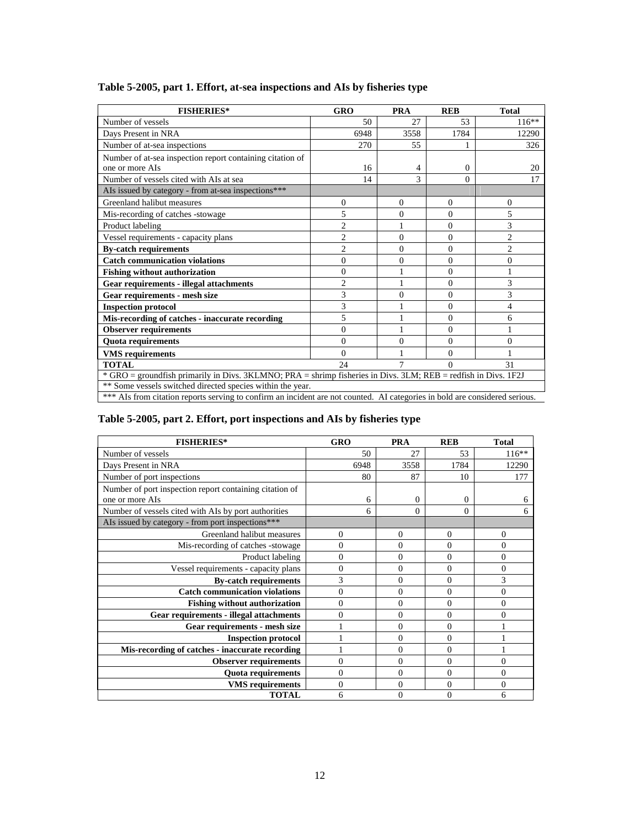| <b>FISHERIES*</b>                                                                                                           | <b>GRO</b>     | <b>PRA</b> | <b>REB</b> | <b>Total</b>   |
|-----------------------------------------------------------------------------------------------------------------------------|----------------|------------|------------|----------------|
| Number of vessels                                                                                                           | 50             | 27         | 53         | $116**$        |
| Days Present in NRA                                                                                                         | 6948           | 3558       | 1784       | 12290          |
| Number of at-sea inspections                                                                                                | 270            | 55         |            | 326            |
| Number of at-sea inspection report containing citation of<br>one or more AIs                                                | 16             | 4          | $\Omega$   | 20             |
| Number of vessels cited with AIs at sea                                                                                     | 14             | 3          | $\Omega$   | 17             |
| AIs issued by category - from at-sea inspections***                                                                         |                |            |            |                |
| Greenland halibut measures                                                                                                  | $\Omega$       | $\Omega$   | $\Omega$   | $\Omega$       |
| Mis-recording of catches -stowage                                                                                           | 5              | $\Omega$   | $\Omega$   | 5              |
| Product labeling                                                                                                            | $\overline{c}$ |            | $\theta$   | 3              |
| Vessel requirements - capacity plans                                                                                        | $\overline{2}$ | $\Omega$   | $\theta$   | $\overline{c}$ |
| <b>By-catch requirements</b>                                                                                                | $\mathfrak{D}$ | $\Omega$   | $\theta$   | $\mathfrak{D}$ |
| <b>Catch communication violations</b>                                                                                       | $\theta$       | $\theta$   | $\theta$   | $\theta$       |
| <b>Fishing without authorization</b>                                                                                        | $\theta$       |            | $\Omega$   |                |
| <b>Gear requirements - illegal attachments</b>                                                                              | 2              |            | $\Omega$   | 3              |
| Gear requirements - mesh size                                                                                               | 3              | $\Omega$   | $\Omega$   | 3              |
| <b>Inspection protocol</b>                                                                                                  | 3              |            | $\Omega$   | 4              |
| Mis-recording of catches - inaccurate recording                                                                             | 5              |            | $\Omega$   | 6              |
| <b>Observer requirements</b>                                                                                                | $\Omega$       |            | $\theta$   |                |
| <b>Quota requirements</b>                                                                                                   | $\theta$       | $\Omega$   | $\theta$   | $\theta$       |
| <b>VMS</b> requirements                                                                                                     | $\Omega$       |            | $\Omega$   |                |
| <b>TOTAL</b>                                                                                                                | 24             | 7          | $\Omega$   | 31             |
| * GRO = groundfish primarily in Divs. 3KLMNO; PRA = shrimp fisheries in Divs. 3LM; REB = redfish in Divs. 1F2J              |                |            |            |                |
| ** Some vessels switched directed species within the year.                                                                  |                |            |            |                |
| *** AIs from citation reports serving to confirm an incident are not counted. AI categories in bold are considered serious. |                |            |            |                |

# **Table 5-2005, part 1. Effort, at-sea inspections and AIs by fisheries type**

# **Table 5-2005, part 2. Effort, port inspections and AIs by fisheries type**

| <b>FISHERIES*</b>                                                          | <b>GRO</b>     | <b>PRA</b> | <b>REB</b>     | <b>Total</b> |
|----------------------------------------------------------------------------|----------------|------------|----------------|--------------|
| Number of vessels                                                          | 50             | 27         | 53             | $116**$      |
| Days Present in NRA                                                        | 6948           | 3558       | 1784           | 12290        |
| Number of port inspections                                                 | 80             | 87         | 10             | 177          |
| Number of port inspection report containing citation of<br>one or more AIs | 6              | 0          | $\mathbf{0}$   | 6            |
| Number of vessels cited with AIs by port authorities                       | 6              | $\theta$   | $\Omega$       | 6            |
| AIs issued by category - from port inspections***                          |                |            |                |              |
| Greenland halibut measures                                                 | $\Omega$       | $\Omega$   | $\Omega$       | $\Omega$     |
| Mis-recording of catches -stowage                                          | 0              | 0          | $\theta$       | 0            |
| Product labeling                                                           | $\Omega$       | $\Omega$   | $\overline{0}$ | $\theta$     |
| Vessel requirements - capacity plans                                       | $\overline{0}$ | $\Omega$   | $\Omega$       | $\theta$     |
| <b>By-catch requirements</b>                                               | 3              | $\Omega$   | $\Omega$       | 3            |
| <b>Catch communication violations</b>                                      | 0              | $\Omega$   | $\Omega$       | $\theta$     |
| <b>Fishing without authorization</b>                                       | $\Omega$       | $\Omega$   | $\Omega$       | $\theta$     |
| <b>Gear requirements - illegal attachments</b>                             | $\Omega$       | $\Omega$   | $\Omega$       | $\Omega$     |
| Gear requirements - mesh size                                              |                | $\Omega$   | $\Omega$       |              |
| <b>Inspection protocol</b>                                                 |                | $\theta$   | 0              |              |
| Mis-recording of catches - inaccurate recording                            |                | $\Omega$   | $\Omega$       |              |
| <b>Observer requirements</b>                                               | $\theta$       | $\Omega$   | $\theta$       | $\theta$     |
| <b>Quota requirements</b>                                                  | $\Omega$       | $\Omega$   | $\Omega$       | $\theta$     |
| <b>VMS</b> requirements                                                    | $\Omega$       | $\Omega$   | $\mathbf{0}$   | $\theta$     |
| <b>TOTAL</b>                                                               | 6              | $\theta$   | 0              | 6            |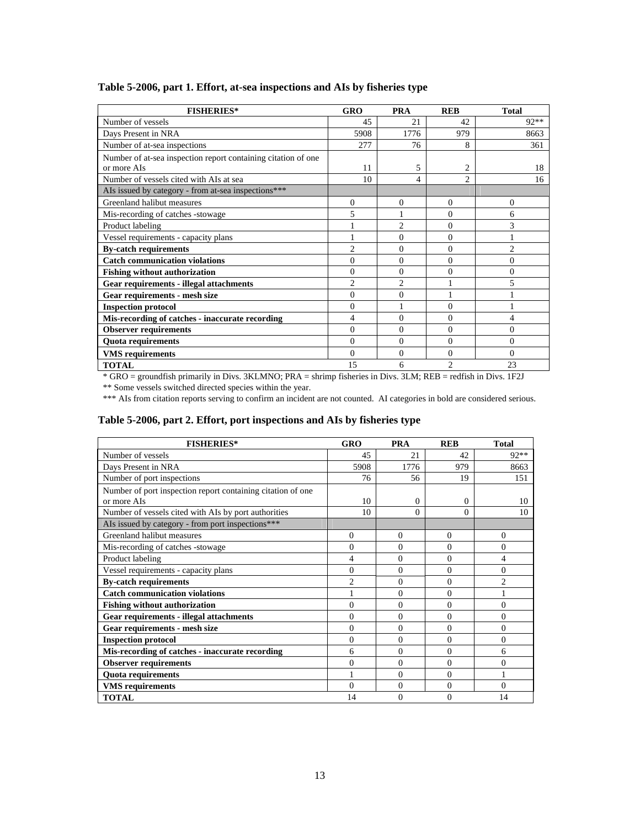| <b>FISHERIES*</b>                                                            | GRO            | <b>PRA</b>     | <b>REB</b>     | <b>Total</b>   |
|------------------------------------------------------------------------------|----------------|----------------|----------------|----------------|
| Number of vessels                                                            | 45             | 21             | 42             | 92**           |
| Days Present in NRA                                                          | 5908           | 1776           | 979            | 8663           |
| Number of at-sea inspections                                                 | 277            | 76             | 8              | 361            |
| Number of at-sea inspection report containing citation of one<br>or more AIs | 11             | 5              | 2              | 18             |
| Number of vessels cited with AIs at sea                                      | 10             | 4              | $\mathfrak{D}$ | 16             |
| Als issued by category - from at-sea inspections***                          |                |                |                |                |
| Greenland halibut measures                                                   | $\mathbf{0}$   | $\Omega$       | $\Omega$       | $\Omega$       |
| Mis-recording of catches -stowage                                            | 5              |                | $\theta$       | 6              |
| Product labeling                                                             |                | $\mathfrak{D}$ | $\Omega$       | $\mathcal{E}$  |
| Vessel requirements - capacity plans                                         |                | $\Omega$       | $\theta$       |                |
| <b>By-catch requirements</b>                                                 | $\overline{c}$ | $\Omega$       | $\theta$       | $\overline{2}$ |
| <b>Catch communication violations</b>                                        | $\Omega$       | $\Omega$       | $\Omega$       | $\Omega$       |
| <b>Fishing without authorization</b>                                         | $\Omega$       | $\Omega$       | $\theta$       | $\Omega$       |
| Gear requirements - illegal attachments                                      | $\overline{c}$ | $\mathfrak{D}$ |                | 5              |
| Gear requirements - mesh size                                                | $\Omega$       | $\overline{0}$ |                |                |
| <b>Inspection protocol</b>                                                   | $\Omega$       | 1              | $\Omega$       |                |
| Mis-recording of catches - inaccurate recording                              | 4              | $\Omega$       | $\Omega$       | 4              |
| <b>Observer requirements</b>                                                 | $\theta$       | $\Omega$       | $\theta$       | $\Omega$       |
| <b>Quota requirements</b>                                                    | $\Omega$       | $\Omega$       | $\Omega$       | $\Omega$       |
| <b>VMS</b> requirements                                                      | $\Omega$       | $\Omega$       | $\theta$       | $\Omega$       |
| <b>TOTAL</b>                                                                 | 15             | 6              | $\mathfrak{D}$ | 23             |

## **Table 5-2006, part 1. Effort, at-sea inspections and AIs by fisheries type**

\* GRO = groundfish primarily in Divs. 3KLMNO; PRA = shrimp fisheries in Divs. 3LM; REB = redfish in Divs. 1F2J

\*\* Some vessels switched directed species within the year.

\*\*\* AIs from citation reports serving to confirm an incident are not counted. AI categories in bold are considered serious.

## **Table 5-2006, part 2. Effort, port inspections and AIs by fisheries type**

| <b>FISHERIES*</b>                                                          | GRO            | <b>PRA</b> | <b>REB</b>     | <b>Total</b>   |
|----------------------------------------------------------------------------|----------------|------------|----------------|----------------|
| Number of vessels                                                          | 45             | 21         | 42             | $92**$         |
| Days Present in NRA                                                        | 5908           | 1776       | 979            | 8663           |
| Number of port inspections                                                 | 76             | 56         | 19             | 151            |
| Number of port inspection report containing citation of one<br>or more AIs | 10             | $\Omega$   | $\Omega$       | 10             |
| Number of vessels cited with AIs by port authorities                       | 10             | $\Omega$   | 0              | 10             |
| AIs issued by category - from port inspections***                          |                |            |                |                |
| Greenland halibut measures                                                 | $\mathbf{0}$   | $\Omega$   | $\mathbf{0}$   | 0              |
| Mis-recording of catches -stowage                                          | $\theta$       | $\Omega$   | $\Omega$       | $\theta$       |
| Product labeling                                                           | 4              | $\Omega$   | $\Omega$       | 4              |
| Vessel requirements - capacity plans                                       | $\Omega$       | $\Omega$   | $\Omega$       | $\theta$       |
| <b>By-catch requirements</b>                                               | $\overline{c}$ | $\Omega$   | $\Omega$       | $\overline{c}$ |
| <b>Catch communication violations</b>                                      |                | $\Omega$   | $\Omega$       |                |
| <b>Fishing without authorization</b>                                       | $\theta$       | $\Omega$   | $\Omega$       | $\Omega$       |
| <b>Gear requirements - illegal attachments</b>                             | $\theta$       | $\Omega$   | $\Omega$       | $\theta$       |
| Gear requirements - mesh size                                              | $\Omega$       | $\Omega$   | $\Omega$       | $\theta$       |
| <b>Inspection protocol</b>                                                 | $\theta$       | $\Omega$   | $\Omega$       | $\theta$       |
| Mis-recording of catches - inaccurate recording                            | 6              | $\Omega$   | $\Omega$       | 6              |
| <b>Observer requirements</b>                                               | $\theta$       | $\Omega$   | $\Omega$       | 0              |
| <b>Quota requirements</b>                                                  |                | $\Omega$   | $\Omega$       |                |
| <b>VMS</b> requirements                                                    | $\Omega$       | $\Omega$   | $\mathbf{0}$   | $\theta$       |
| <b>TOTAL</b>                                                               | 14             | $\Omega$   | $\overline{0}$ | 14             |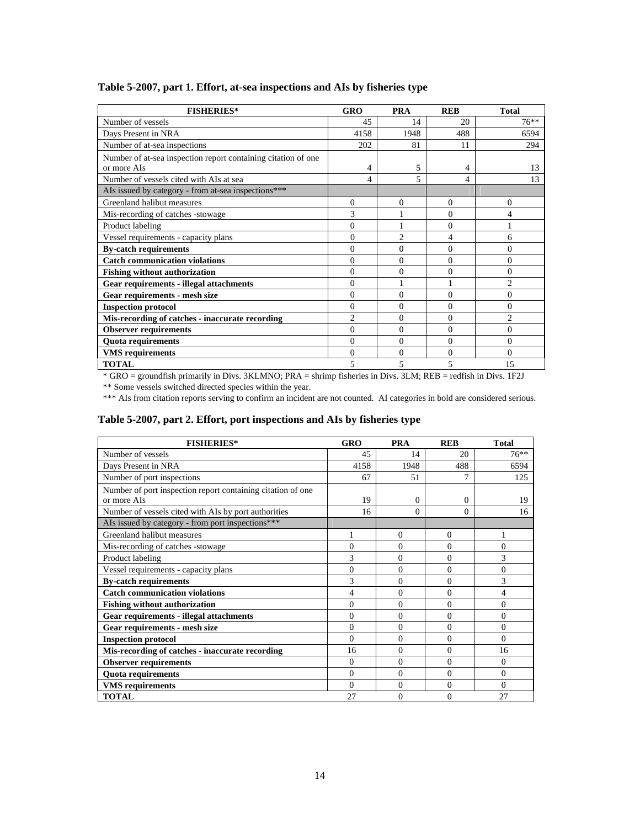| <b>FISHERIES*</b>                                             | <b>GRO</b>     | <b>PRA</b>     | <b>REB</b> | <b>Total</b>                |
|---------------------------------------------------------------|----------------|----------------|------------|-----------------------------|
| Number of vessels                                             | 45             | 14             | 20         | $76***$                     |
| Days Present in NRA                                           | 4158           | 1948           | 488        | 6594                        |
| Number of at-sea inspections                                  | 202            | 81             | 11         | 294                         |
| Number of at-sea inspection report containing citation of one |                |                |            |                             |
| or more AIs                                                   | 4              | 5              | 4          | 13                          |
| Number of vessels cited with AIs at sea                       | 4              | 5              | 4          | 13                          |
| AIs issued by category - from at-sea inspections***           |                |                |            |                             |
| Greenland halibut measures                                    | $\Omega$       | $\Omega$       | $\theta$   | $\theta$                    |
| Mis-recording of catches -stowage                             | 3              |                | 0          |                             |
| Product labeling                                              | $\theta$       |                | 0          |                             |
| Vessel requirements - capacity plans                          | $\theta$       | $\overline{c}$ | 4          | 6                           |
| <b>By-catch requirements</b>                                  | $\Omega$       | 0              | $\Omega$   | $\Omega$                    |
| <b>Catch communication violations</b>                         | $\theta$       | $\Omega$       | $\Omega$   | $\Omega$                    |
| <b>Fishing without authorization</b>                          | $\theta$       | $\theta$       | 0          | 0                           |
| <b>Gear requirements - illegal attachments</b>                | $\Omega$       |                |            | $\mathcal{D}_{\mathcal{A}}$ |
| Gear requirements - mesh size                                 | $\theta$       | $\theta$       | $\theta$   | $\theta$                    |
| <b>Inspection protocol</b>                                    | $\Omega$       | $\Omega$       | 0          | $\theta$                    |
| Mis-recording of catches - inaccurate recording               | $\overline{c}$ | $\Omega$       | $\Omega$   | $\mathfrak{D}$              |
| <b>Observer requirements</b>                                  | $\Omega$       | 0              | 0          | $\Omega$                    |
| <b>Quota requirements</b>                                     | $\Omega$       | $\Omega$       | $\theta$   | $\Omega$                    |
| <b>VMS</b> requirements                                       | $\theta$       | $\theta$       | $\theta$   | $\Omega$                    |
| <b>TOTAL</b>                                                  | 5              | 5              | 5          | 15                          |

## **Table 5-2007, part 1. Effort, at-sea inspections and AIs by fisheries type**

\* GRO = groundfish primarily in Divs. 3KLMNO; PRA = shrimp fisheries in Divs. 3LM; REB = redfish in Divs. 1F2J

\*\* Some vessels switched directed species within the year.

\*\*\* AIs from citation reports serving to confirm an incident are not counted. AI categories in bold are considered serious.

## **Table 5-2007, part 2. Effort, port inspections and AIs by fisheries type**

| <b>FISHERIES*</b>                                                          | GRO      | <b>PRA</b> | <b>REB</b>     | <b>Total</b> |
|----------------------------------------------------------------------------|----------|------------|----------------|--------------|
| Number of vessels                                                          | 45       | 14         | 20             | $76***$      |
| Days Present in NRA                                                        | 4158     | 1948       | 488            | 6594         |
| Number of port inspections                                                 | 67       | 51         |                | 125          |
| Number of port inspection report containing citation of one<br>or more AIs | 19       | $\theta$   | 0              | 19           |
| Number of vessels cited with AIs by port authorities                       | 16       | 0          | 0              | 16           |
| AIs issued by category - from port inspections***                          |          |            |                |              |
| Greenland halibut measures                                                 |          | $\Omega$   | $\Omega$       |              |
| Mis-recording of catches -stowage                                          | $\theta$ | $\Omega$   | $\Omega$       | $\theta$     |
| Product labeling                                                           | 3        | $\Omega$   | $\Omega$       | 3            |
| Vessel requirements - capacity plans                                       | $\Omega$ | $\Omega$   | $\Omega$       | $\theta$     |
| <b>By-catch requirements</b>                                               | 3        | $\Omega$   | $\Omega$       | 3            |
| <b>Catch communication violations</b>                                      | 4        | $\Omega$   | $\Omega$       | 4            |
| <b>Fishing without authorization</b>                                       | $\theta$ | $\Omega$   | $\mathbf{0}$   | $\theta$     |
| <b>Gear requirements - illegal attachments</b>                             | $\theta$ | $\Omega$   | $\Omega$       | $\theta$     |
| Gear requirements - mesh size                                              | $\theta$ | $\Omega$   | $\theta$       | $\theta$     |
| <b>Inspection protocol</b>                                                 | $\Omega$ | $\Omega$   | $\mathbf{0}$   | $\Omega$     |
| Mis-recording of catches - inaccurate recording                            | 16       | $\theta$   | $\Omega$       | 16           |
| <b>Observer requirements</b>                                               | $\Omega$ | $\Omega$   | $\theta$       | 0            |
| <b>Quota requirements</b>                                                  | $\Omega$ | $\Omega$   | $\Omega$       | $\theta$     |
| <b>VMS</b> requirements                                                    | $\theta$ | $\Omega$   | $\Omega$       | $\Omega$     |
| <b>TOTAL</b>                                                               | 27       | $\Omega$   | $\overline{0}$ | 27           |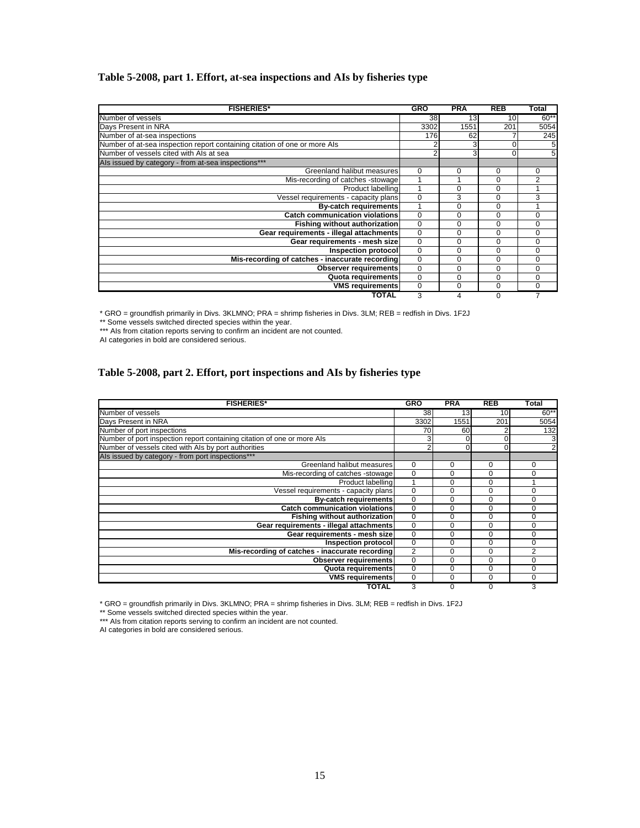## **Table 5-2008, part 1. Effort, at-sea inspections and AIs by fisheries type**

| <b>FISHERIES*</b>                                                         | <b>GRO</b>  | <b>PRA</b>      | <b>REB</b> | Total    |
|---------------------------------------------------------------------------|-------------|-----------------|------------|----------|
| Number of vessels                                                         | 38          | 13 <sup>1</sup> | 10I        | $60**$   |
| Days Present in NRA                                                       | 3302        | 1551            | 201        | 5054     |
| Number of at-sea inspections                                              | 176         | 62              |            | 245      |
| Number of at-sea inspection report containing citation of one or more Als |             |                 |            | 5        |
| Number of vessels cited with Als at sea                                   |             | $\mathbf{3}$    | $\Omega$   | 5        |
| Als issued by category - from at-sea inspections***                       |             |                 |            |          |
| Greenland halibut measures                                                | 0           | 0               | 0          | 0        |
| Mis-recording of catches -stowage                                         |             |                 | 0          | 2        |
| Product labelling                                                         |             | 0               | $\Omega$   |          |
| Vessel requirements - capacity plans                                      | $\Omega$    | 3               | $\Omega$   | 3        |
| <b>By-catch requirements</b>                                              |             | 0               | $\Omega$   |          |
| <b>Catch communication violations</b>                                     | $\mathbf 0$ | $\Omega$        | $\Omega$   | $\Omega$ |
| <b>Fishing without authorization</b>                                      | $\mathbf 0$ | $\Omega$        | $\Omega$   | 0        |
| Gear requirements - illegal attachments                                   | 0           | $\Omega$        | $\Omega$   | 0        |
| Gear requirements - mesh size                                             | 0           | 0               | 0          | $\Omega$ |
| Inspection protocol                                                       | 0           | $\Omega$        | $\Omega$   | $\Omega$ |
| Mis-recording of catches - inaccurate recording                           | $\mathbf 0$ | $\Omega$        | $\Omega$   | $\Omega$ |
| Observer requirements                                                     | 0           | 0               | $\Omega$   | $\Omega$ |
| Quota requirements                                                        | 0           | 0               | $\Omega$   | 0        |
| <b>VMS requirements</b>                                                   | 0           | 0               | $\Omega$   | 0        |
| <b>TOTAL</b>                                                              | 3           | 4               | $\Omega$   |          |

\* GRO = groundfish primarily in Divs. 3KLMNO; PRA = shrimp fisheries in Divs. 3LM; REB = redfish in Divs. 1F2J

\*\* Some vessels switched directed species within the year.

\*\*\* Als from citation reports serving to confirm an incident are not counted.

AI categories in bold are considered serious.

### **Table 5-2008, part 2. Effort, port inspections and AIs by fisheries type**

| <b>FISHERIES*</b>                                                       | <b>GRO</b>     | <b>PRA</b>      | <b>REB</b>      | <b>Total</b>   |
|-------------------------------------------------------------------------|----------------|-----------------|-----------------|----------------|
| Number of vessels                                                       | 38             | 13 <sub>l</sub> | 10 <sup>1</sup> | $60**$         |
| Days Present in NRA                                                     | 3302           | 1551            | 201             | 5054           |
| Number of port inspections                                              | 70             | 60              |                 | 132            |
| Number of port inspection report containing citation of one or more Als | 31             | O               |                 | 3              |
| Number of vessels cited with Als by port authorities                    | $\overline{2}$ |                 |                 | $\overline{2}$ |
| Als issued by category - from port inspections***                       |                |                 |                 |                |
| Greenland halibut measures                                              | $\Omega$       | 0               | $\Omega$        | $\Omega$       |
| Mis-recording of catches -stowage                                       | 0              | 0               | 0               | 0              |
| Product labelling                                                       |                | 0               | 0               |                |
| Vessel requirements - capacity plans                                    | $\Omega$       | $\Omega$        | 0               | 0              |
| <b>By-catch requirements</b>                                            | $\Omega$       | $\Omega$        | 0               | 0              |
| <b>Catch communication violations</b>                                   | $\Omega$       | 0               | 0               | 0              |
| <b>Fishing without authorization</b>                                    | $\Omega$       | $\Omega$        | 0               | O              |
| Gear requirements - illegal attachments                                 | $\Omega$       | $\Omega$        | 0               | 0              |
| Gear requirements - mesh size                                           | $\Omega$       | 0               | 0               | 0              |
| Inspection protocol                                                     | $\Omega$       | 0               | 0               | O              |
| Mis-recording of catches - inaccurate recording                         | $\overline{2}$ | 0               | $\Omega$        | 2              |
| Observer requirements                                                   | $\Omega$       | 0               | 0               | 0              |
| Quota requirements                                                      | $\Omega$       | $\Omega$        | 0               | 0              |
| <b>VMS requirements</b>                                                 | 0              | 0               | 0               | 0              |
| <b>TOTAL</b>                                                            | 3              | 0               |                 | 3              |

\* GRO = groundfish primarily in Divs. 3KLMNO; PRA = shrimp fisheries in Divs. 3LM; REB = redfish in Divs. 1F2J

\*\* Some vessels switched directed species within the year.

\*\*\* Als from citation reports serving to confirm an incident are not counted.

AI categories in bold are considered serious.